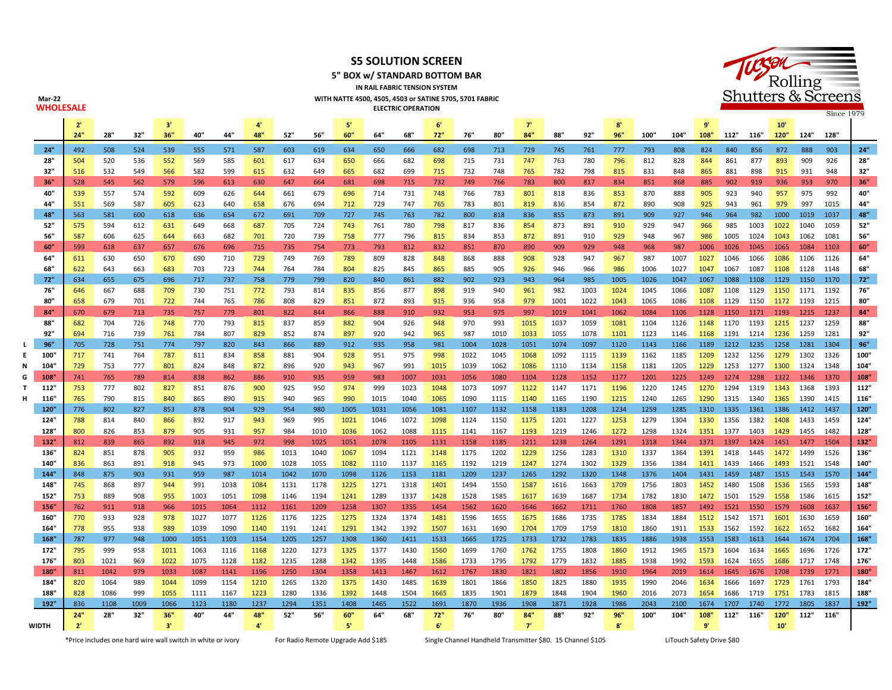

**5" BOX w/ STANDARD BOTTOM BAR IN RAIL FABRIC TENSION SYSTEM**

**WITH NATTE 4500, 4505, 4503 or SATINE 5705, 5701 FABRIC**



**Mar-22**

| WHOLESALE    |                |            |            |            |            |            |            |            |            |                |            | <b>ELECTRIC OPERATION</b> |              |              |              |              |              |              |                           |              |              |              |                             |                |              |              | Since 1979   |             |
|--------------|----------------|------------|------------|------------|------------|------------|------------|------------|------------|----------------|------------|---------------------------|--------------|--------------|--------------|--------------|--------------|--------------|---------------------------|--------------|--------------|--------------|-----------------------------|----------------|--------------|--------------|--------------|-------------|
|              | $\overline{2}$ |            |            | 3'         |            |            |            |            |            | $\mathbb{S}^t$ |            |                           | 6'           |              |              | T            |              |              | $\mathbf{R}^{\mathsf{t}}$ |              |              | $\mathbf{q}$ |                             |                | 10'          |              |              |             |
|              | 24"            | 28"        | 32"        | 36"        | 40"        | 44"        | 48"        | 52"        | 56"        | 60"            | 64"        | 68"                       | 72"          | 76"          | 80"          | 84"          | 88"          | 92"          | 96"                       | 100"         | 104"         | 108"         | 112" 116"                   |                | 120"         | 124"         | 128"         |             |
| 24"          | 492            | 508        | 524        | 539        | 555        | 571        | 587        | 603        | 619        | 634            | 650        | 666                       | 682          | 698          | 713          | 729          | 745          | 761          | 777                       | 793          | 808          | 824          | 840                         | 856            | 872          | 888          | 903          | 24"         |
| 28"          | 504            | 520        | 536        | 552        | 569        | 585        | 601        | 617        | 634        | 650            | 666        | 682                       | 698          | 715          | 731          | 747          | 763          | 780          | 796                       | 812          | 828          | 844          | 861                         | 877            | 893          | 909          | 926          | 28"         |
| 32"          | 516            | 532        | 549        | 566        | 582        | 599        | 615        | 632        | 649        | 665            | 682        | 699                       | 715          | 732          | 748          | 765          | 782          | 798          | 815                       | 831          | 848          | 865          | 881                         | 898            | 915          | 931          | 948          | 32"         |
| 36"          | 528            | 545        | 562        | 579        | 596        | 613        | 630        | 647        | 664        | 681            | 698        | 715                       | 732          | 749          | 766          | 783          | 800          | 817          | 834                       | 851          | 868          | 885          | 902                         | 919            | 936          | 953          | 970          | 36"         |
| 40"          | 539            | 557        | 574        | 592        | 609        | 626        | 644        | 661        | 679        | 696            | 714        | 731                       | 748          | 766          | 783          | 801          | 818          | 836          | 853                       | 870          | 888          | 905          | 923                         | 940            | 957          | 975          | 992          | 40"         |
| 44"          | 551            | 569        | 587        | 605        | 623        | 640        | 658        | 676        | 694        | 712            | 729        | 747                       | 765          | 783          | 801          | 819          | 836          | 854          | 872                       | 890          | 908          | 925          | 943                         | 961            | 979          | 997          | 1015         | 44"         |
| 48"          | 563            | 581        | 600        | 618        | 636        | 654        | 672        | 691        | 709        | 727            | 745        | 763                       | 782          | 800          | 818          | 836          | 855          | 873          | 891                       | 909          | 927          | 946          | 964                         | 982            | 1000         | 1019         | 1037         | 48"         |
| 52"          | 575            | 594        | 612        | 631        | 649        | 668        | 687        | 705        | 724        | 743            | 761        | 780                       | 798          | 817          | 836          | 854          | 873          | 891          | 910                       | 929          | 947          | 966          | 985                         | 1003           | 1022         | 1040         | 1059         | 52"         |
| 56"          | 587            | 606        | 625        | 644        | 663        | 682        | 701        | 720        | 739        | 758            | 777        | 796                       | 815          | 834          | 853          | 872          | 891          | 910          | 929                       | 948          | 967          | 986          | 1005                        | 1024           | 1043         | 1062         | 1081         | 56"         |
| 60"          | 599            | 618        | 637        | 657        | 676        | 696        | 715        | 735        | 754        | 773            | 793        | 812                       | 832          | 851          | 870          | 890          | 909          | 929          | 948                       | 968          | 987          | 1006         | 1026                        | 1045           | 1065         | 1084         | 1103         | 60"         |
| 64"          | 611            | 630        | 650        | 670        | 690        | 710        | 729        | 749        | 769        | 789            | 809        | 828                       | 848          | 868          | 888          | 908          | 928          | 947          | 967                       | 987          | 1007         | 1027         | 1046                        | 1066           | 1086         | 1106         | 1126         | 64"         |
| 68"          | 622            | 643        | 663        | 683        | 703        | 723        | 744        | 764        | 784        | 804            | 825        | 845                       | 865          | 885          | 905          | 926          | 946          | 966          | 986                       | 1006         | 1027         | 1047         | 1067                        | 1087           | 1108         | 1128         | 1148         | 68"         |
| 72"          | 634            | 655        | 675        | 696        | 717        | 737        | 758        | 779        | 799        | 820            | 840        | 861                       | 882          | 902          | 923          | 943          | 964          | 985          | 1005                      | 1026         | 1047         | 1067         | 1088                        | 1108           | 1129         | 1150         | 1170         | 72"         |
| 76"          | 646            | 667        | 688        | 709        | 730        | 751        | 772        | 793        | 814        | 835            | 856        | 877                       | 898          | 919          | 940          | 961          | 982          | 1003         | 1024                      | 1045         | 1066         | 1087         | 1108                        | 1129           | 1150         | 1171         | 1192         | 76"         |
| 80"          | 658            | 679        | 701        | 722        | 744        | 765        | 786        | 808        | 829        | 851            | 872        | 893                       | 915          | 936          | 958          | 979          | 1001         | 1022         | 1043                      | 1065         | 1086         | 1108         | 1129                        | 1150           | 1172         | 1193         | 1215         | 80'         |
| 84"          | 670            | 679        | 713        | 735        | 757        | 779        | 801        | 822        | 844        | 866            | 888        | 910                       | 932          | 953          | 975          | 997          | 1019         | 1041         | 1062                      | 1084         | 1106         | 1128         | 1150                        | 1171           | 1193         | 1215         | 1237         | 84"         |
| 88"          | 682            | 704        | 726        | 748        | 770        | 793        | 815        | 837        | 859        | 882            | 904        | 926                       | 948          | 970          | 993          | 1015         | 1037         | 1059         | 1081                      | 1104         | 1126         |              | 1148 1170 1193              |                | 1215         | 1237         | 1259         | 88"         |
| 92"          | 694            | 716        | 739        | 761        | 784        | 807        | 829        | 852        | 874        | 897            | 920        | 942                       | 965          | 987          | 1010         | 1033         | 1055         | 1078         | 1101                      | 1123         | 1146         | 1168         | 1191                        | 1214           | 1236         | 1259         | 1281         | 92"         |
| 96"          | 705            | 728        | 751        | 774        | 797        | 820        | 843        | 866        | 889        | 912            | 935        | 958                       | 981          | 1004         | 1028         | 1051         | 1074         | 1097         | 1120                      | 1143         | 1166         | 1189         | 1212                        | 1235           | 1258         | 1281         | 1304         | 96"         |
| 100"         | 717            | 741        | 764        | 787        | 811        | 834        | 858        | 881        | 904        | 928            | 951        | 975                       | 998          | 1022         | 1045         | 1068         | 1092         | 1115         | 1139                      | 1162         | 1185         | 1209         | 1232 1256                   |                | 1279         | 1302         | 1326         | 100"        |
| 104"<br>108  | 729<br>741     | 753<br>765 | 777<br>789 | 801<br>814 | 824<br>838 | 848<br>862 | 872<br>886 | 896<br>910 | 920<br>935 | 943<br>959     | 967<br>983 | 991<br>1007               | 1015<br>1031 | 1039<br>1056 | 1062<br>1080 | 1086<br>1104 | 1110<br>1128 | 1134<br>1152 | 1158<br>1177              | 1181<br>1201 | 1205<br>1225 |              | 1229 1253<br>1249 1274 1298 | 1277           | 1300<br>1322 | 1324<br>1346 | 1348<br>1370 | 104"<br>108 |
| 112"         | 753            | 777        | 802        | 827        | 851        | 876        | 900        | 925        | 950        | 974            | 999        | 1023                      | 1048         | 1073         | 1097         | 1122         | 1147         | 1171         | 1196                      | 1220         | 1245         |              | 1270 1294 1319              |                | 1343         | 1368         | 1393         | 112"        |
| 116"         | 765            | 790        | 815        | 840        | 865        | 890        | 915        | 940        | 965        | 990            | 1015       | 1040                      | 1065         | 1090         | 1115         | 1140         | 1165         | 1190         | 1215                      | 1240         | 1265         | 1290         | 1315                        | 1340           | 1365         | 1390         | 1415         | 116"        |
| 120"         | 776            | 802        | 827        | 853        | 878        | 904        | 929        | 954        | 980        | 1005           | 1031       | 1056                      | 1081         | 1107         | 1132         | 1158         | 1183         | 1208         | 1234                      | 1259         | 1285         |              | 1310 1335 1361              |                | 1386         | 1412         | 1437         | 120"        |
| 124"         | 788            | 814        | 840        | 866        | 892        | 917        | 943        | 969        | 995        | 1021           | 1046       | 1072                      | 1098         | 1124         | 1150         | 1175         | 1201         | 1227         | 1253                      | 1279         | 1304         |              | 1330 1356                   | 1382           | 1408         | 1433         | 1459         | 124"        |
| 128"         | 800            | 826        | 853        | 879        | 905        | 931        | 957        | 984        | 1010       | 1036           | 1062       | 1088                      | 1115         | 1141         | 1167         | 1193         | 1219         | 1246         | 1272                      | 1298         | 1324         |              | 1351 1377 1403              |                | 1429         | 1455         | 1482         | 128         |
| 132"         | 812            | 839        | 865        | 892        | 918        | 945        | 972        | 998        | 1025       | 1051           | 1078       | 1105                      | 1131         | 1158         | 1185         | 1211         | 1238         | 1264         | 1291                      | 1318         | 1344         | 1371         | 1397                        | 1424           | 1451         | 1477         | 1504         | 132"        |
| 136"         | 824            | 851        | 878        | 905        | 932        | 959        | 986        | 1013       | 1040       | 1067           | 1094       | 1121                      | 1148         | 1175         | 1202         | 1229         | 1256         | 1283         | 1310                      | 1337         | 1364         |              | 1391 1418                   | 1445           | 1472         | 1499         | 1526         | 136         |
| 140"         | 836            | 863        | 891        | 918        | 945        | 973        | 1000       | 1028       | 1055       | 1082           | 1110       | 1137                      | 1165         | 1192         | 1219         | 1247         | 1274         | 1302         | 1329                      | 1356         | 1384         |              | 1411 1439                   | 1466           | 1493         | 1521         | 1548         | 140"        |
| 144"         | 848            | 875        | 903        | 931        | 959        | 987        | 1014       | 1042       | 1070       | 1098           | 1126       | 1153                      | 1181         | 1209         | 1237         | 1265         | 1292         | 1320         | 1348                      | 1376         | 1404         | 1431         | 1459                        | 1487           | 1515         | 1543         | 1570         | 144"        |
| 148          | 745            | 868        | 897        | 944        | 991        | 1038       | 1084       | 1131       | 1178       | 1225           | 1271       | 1318                      | 1401         | 1494         | 1550         | 1587         | 1616         | 1663         | 1709                      | 1756         | 1803         | 1452         | 1480                        | 1508           | 1536         | 1565         | 1593         | 148         |
| 152"         | 753            | 889        | 908        | 955        | 1003       | 1051       | 1098       | 1146       | 1194       | 1241           | 1289       | 1337                      | 1428         | 1528         | 1585         | 1617         | 1639         | 1687         | 1734                      | 1782         | 1830         | 1472         | 1501                        | 1529           | 1558         | 1586         | 1615         | 152         |
| 156"         | 762            | 911        | 918        | 966        | 1015       | 1064       | 1112       | 1161       | 1209       | 1258           | 1307       | 1355                      | 1454         | 1562         | 1620         | 1646         | 1662         | 1711         | 1760                      | 1808         | 1857         |              | 1492 1521                   | 1550           | 1579         | 1608         | 1637         | 156"        |
| 160"         | 770            | 933        | 928        | 978        | 1027       | 1077       | 1126       | 1176       | 1225       | 1275           | 1324       | 1374                      | 1481         | 1596         | 1655         | 1675         | 1686         | 1735         | 1785                      | 1834         | 1884         |              | 1512 1542 1571              |                | 1601         | 1630         | 1659         | 160"        |
| 164"         | 778            | 955        | 938        | 989        | 1039       | 1090       | 1140       | 1191       | 1241       | 1291           | 1342       | 1392                      | 1507         | 1631         | 1690         | 1704         | 1709         | 1759         | 1810                      | 1860         | 1911         |              | 1533 1562                   | 1592           | 1622         | 1652         | 1682         | 164         |
| 168"         | 787            | 977        | 948        | 1000       | 1051       | 1103       | 1154       | 1205       | 1257       | 1308           | 1360       | 1411                      | 1533         | 1665         | 1725         | 1733         | 1732         | 1783         | 1835                      | 1886         | 1938         |              |                             | 1553 1583 1613 | 1644         | 1674 1704    |              | 168"        |
| 172"         | 795            | 999        | 958        | 1011       | 1063       | 1116       | 1168       | 1220       | 1273       | 1325           | 1377       | 1430                      | 1560         | 1699         | 1760         | 1762         | 1755         | 1808         | 1860                      | 1912         | 1965         |              | 1573 1604                   | 1634           | 1665         | 1696         | 1726         | 172"        |
| 176"         | 803            | 1021       | 969        | 1022       | 1075       | 1128       | 1182       | 1235       | 1288       | 1342           | 1395       | 1448                      | 1586         | 1733         | 1795         | 1792         | 1779         | 1832         | 1885                      | 1938         | 1992         | 1593         | 1624 1655                   |                | 1686         | 1717         | 1748         | 176"        |
| 180"         | 811            | 1042       | 979        | 1033       | 1087       | 1141       | 1196       | 1250       | 1304       | 1358           | 1413       | 1467                      | 1612         | 1767         | 1830         | 1821         | 1802         | 1856         | 1910                      | 1964         | 2019         | 1614         | 1645                        | 1676           | 1708         | 1739         | 1771         | 180"        |
| 184"         | 820            | 1064       | 989        | 1044       | 1099       | 1154       | 1210       | 1265       | 1320       | 1375           | 1430       | 1485                      | 1639         | 1801         | 1866         | 1850         | 1825         | 1880         | 1935                      | 1990         | 2046         |              | 1634 1666                   | 1697           | 1729         | 1761         | 1793         | 184"        |
| 188"         | 828            | 1086       | 999        | 1055       | 1111       | 1167       | 1223       | 1280       | 1336       | 1392           | 1448       | 1504                      | 1665         | 1835         | 1901         | 1879         | 1848         | 1904         | 1960                      | 2016         | 2073         | 1654         | 1686                        | 1719           | 1751         | 1783         | 1815         | 188"        |
| 192"         | 836            | 1108       | 1009       | 1066       | 1123       | 1180       | 1237       | 1294       | 1351       | 1408           | 1465       | 1522                      | 1691         | 1870         | 1936         | 1908         | 1871         | 1928         | 1986                      | 2043         | 2100         | 1674         | 1707                        | 1740           | 1772         | 1805         | 1837         | 192"        |
|              | 24'            | 28"        | 32"        | 36"        | 40"        | 44"        | 48"<br>4'  | 52"        | 56"        | 60"            | 64"        | 68"                       | 72"          | 76"          | 80"          | 84"          | 88"          | 92"          | 96"                       | 100"         | 104"         | 108"<br>9'   | 112"                        | 116"           | 120"         | 112"         | 116"         |             |
| <b>WIDTH</b> | 2'             |            |            | 3'         |            |            |            |            |            | ${\bf 5}^i$    |            |                           | 6'           |              |              | T            |              |              | 8'                        |              |              |              |                             |                | 10'          |              |              |             |

\*Price includes one hard wire wall switch in white or ivory For Radio Remote Upgrade Add \$185 Single Channel Handheld Transmitter \$80. 15 Channel \$105

LiTouch Safety Drive \$80